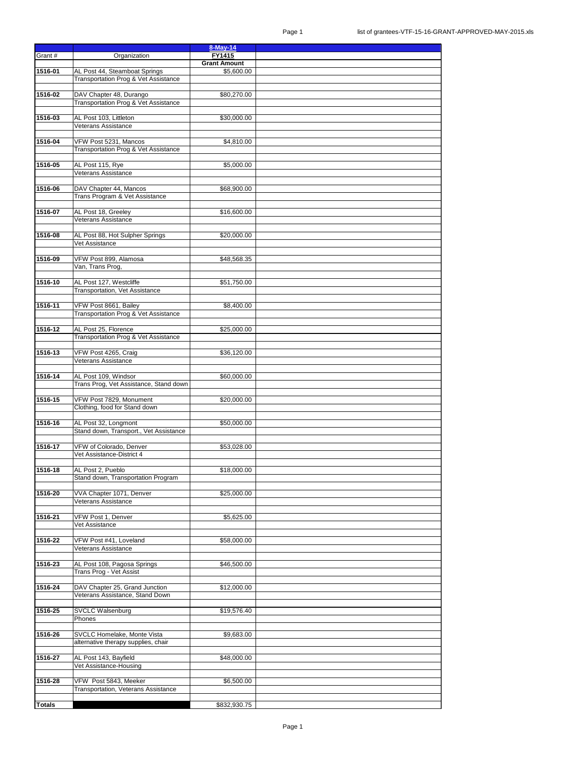|               |                                                                 | $8-May-14$          |  |
|---------------|-----------------------------------------------------------------|---------------------|--|
| Grant #       | Organization                                                    | FY1415              |  |
|               |                                                                 | <b>Grant Amount</b> |  |
| 1516-01       | AL Post 44, Steamboat Springs                                   | \$5,600.00          |  |
|               | Transportation Prog & Vet Assistance                            |                     |  |
| 1516-02       |                                                                 |                     |  |
|               | DAV Chapter 48, Durango<br>Transportation Prog & Vet Assistance | \$80,270.00         |  |
|               |                                                                 |                     |  |
| 1516-03       | AL Post 103, Littleton                                          | \$30,000.00         |  |
|               | <b>Veterans Assistance</b>                                      |                     |  |
|               |                                                                 |                     |  |
| 1516-04       | VFW Post 5231, Mancos                                           | \$4,810.00          |  |
|               | Transportation Prog & Vet Assistance                            |                     |  |
|               |                                                                 |                     |  |
| 1516-05       | AL Post 115, Rye                                                | \$5,000.00          |  |
|               | Veterans Assistance                                             |                     |  |
|               |                                                                 |                     |  |
| 1516-06       | DAV Chapter 44, Mancos                                          | \$68,900.00         |  |
|               | Trans Program & Vet Assistance                                  |                     |  |
| 1516-07       | AL Post 18, Greeley                                             | \$16,600.00         |  |
|               | Veterans Assistance                                             |                     |  |
|               |                                                                 |                     |  |
| 1516-08       | AL Post 88, Hot Sulpher Springs                                 | \$20,000.00         |  |
|               | Vet Assistance                                                  |                     |  |
|               |                                                                 |                     |  |
| 1516-09       | VFW Post 899, Alamosa                                           | \$48,568.35         |  |
|               | Van, Trans Prog,                                                |                     |  |
|               |                                                                 |                     |  |
| 1516-10       | AL Post 127, Westcliffe                                         | \$51,750.00         |  |
|               | Transportation, Vet Assistance                                  |                     |  |
| 1516-11       | VFW Post 8661, Bailey                                           | \$8,400.00          |  |
|               | Transportation Prog & Vet Assistance                            |                     |  |
|               |                                                                 |                     |  |
| 1516-12       | AL Post 25, Florence                                            | \$25,000.00         |  |
|               | Transportation Prog & Vet Assistance                            |                     |  |
|               |                                                                 |                     |  |
| 1516-13       | VFW Post 4265, Craig                                            | \$36,120.00         |  |
|               | Veterans Assistance                                             |                     |  |
|               |                                                                 |                     |  |
| 1516-14       | AL Post 109, Windsor                                            | \$60,000.00         |  |
|               | Trans Prog, Vet Assistance, Stand down                          |                     |  |
| 1516-15       | VFW Post 7829, Monument                                         | \$20,000.00         |  |
|               | Clothing, food for Stand down                                   |                     |  |
|               |                                                                 |                     |  |
| 1516-16       | AL Post 32, Longmont                                            | \$50,000.00         |  |
|               | Stand down, Transport., Vet Assistance                          |                     |  |
|               |                                                                 |                     |  |
| 1516-17       | VFW of Colorado, Denver                                         | \$53,028.00         |  |
|               | Vet Assistance-District 4                                       |                     |  |
|               |                                                                 |                     |  |
| 1516-18       | AL Post 2, Pueblo                                               | \$18,000.00         |  |
|               | Stand down, Transportation Program                              |                     |  |
| 1516-20       | VVA Chapter 1071, Denver                                        | \$25,000.00         |  |
|               | Veterans Assistance                                             |                     |  |
|               |                                                                 |                     |  |
| 1516-21       | VFW Post 1, Denver                                              | \$5,625.00          |  |
|               | Vet Assistance                                                  |                     |  |
|               |                                                                 |                     |  |
| 1516-22       | VFW Post #41, Loveland                                          | \$58,000.00         |  |
|               | Veterans Assistance                                             |                     |  |
|               |                                                                 |                     |  |
| 1516-23       | AL Post 108, Pagosa Springs                                     | \$46,500.00         |  |
|               | Trans Prog - Vet Assist                                         |                     |  |
| 1516-24       | DAV Chapter 25, Grand Junction                                  | \$12,000.00         |  |
|               | Veterans Assistance, Stand Down                                 |                     |  |
|               |                                                                 |                     |  |
| 1516-25       | <b>SVCLC Walsenburg</b>                                         | \$19,576.40         |  |
|               | Phones                                                          |                     |  |
|               |                                                                 |                     |  |
| 1516-26       | SVCLC Homelake, Monte Vista                                     | \$9,683.00          |  |
|               | alternative therapy supplies, chair                             |                     |  |
|               |                                                                 |                     |  |
| 1516-27       | AL Post 143, Bayfield                                           | \$48,000.00         |  |
|               | Vet Assistance-Housing                                          |                     |  |
| 1516-28       | VFW Post 5843, Meeker                                           | \$6,500.00          |  |
|               | Transportation, Veterans Assistance                             |                     |  |
|               |                                                                 |                     |  |
| <b>Totals</b> |                                                                 | \$832,930.75        |  |